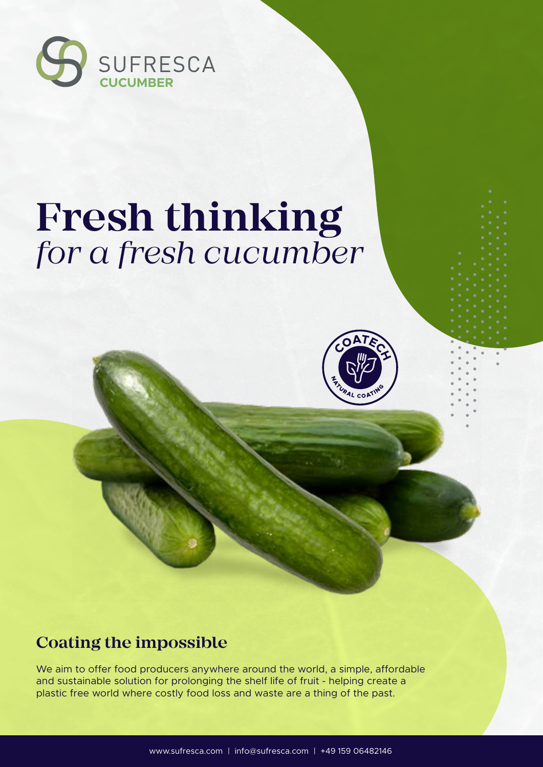

# **Fresh thinking** *for a fresh cucumber*



### **Coating the impossible**

We aim to offer food producers anywhere around the world, a simple, affordable and sustainable solution for prolonging the shelf life of fruit - helping create a plastic free world where costly food loss and waste are a thing of the past.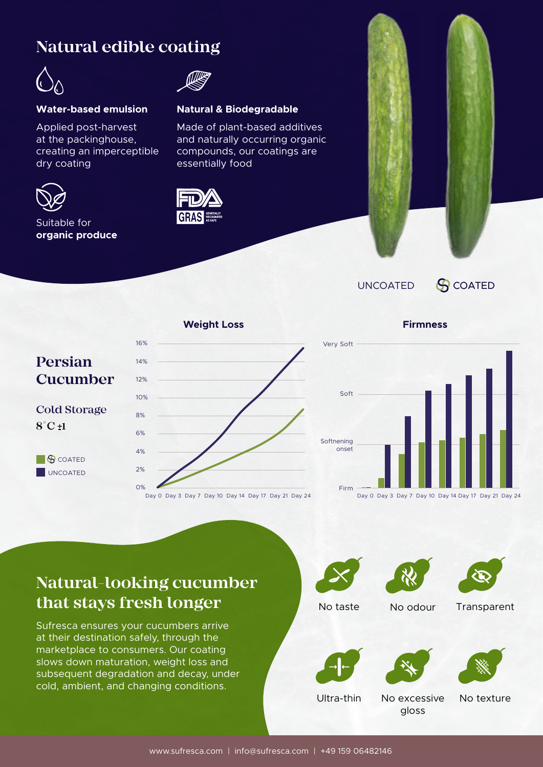### **Natural edible coating**



Applied post-harvest at the packinghouse, creating an imperceptible dry coating



Suitable for **organic produce**



#### **Water-based emulsion Natural & Biodegradable**

Made of plant-based additives and naturally occurring organic compounds, our coatings are essentially food





UNCOATED **G** COATED



Day 0 Day 3 Day 7 Day 10 Day 14 Day 17 Day 21 Day 24



Day 0 Day 3 Day 7 Day 10 Day 14 Day 17 Day 21 Day 24

### **Natural-looking cucumber that stays fresh longer**

Sufresca ensures your cucumbers arrive at their destination safely, through the marketplace to consumers. Our coating slows down maturation, weight loss and subsequent degradation and decay, under cold, ambient, and changing conditions.







No taste No odour Transparent







Ultra-thin No excessive No texture

gloss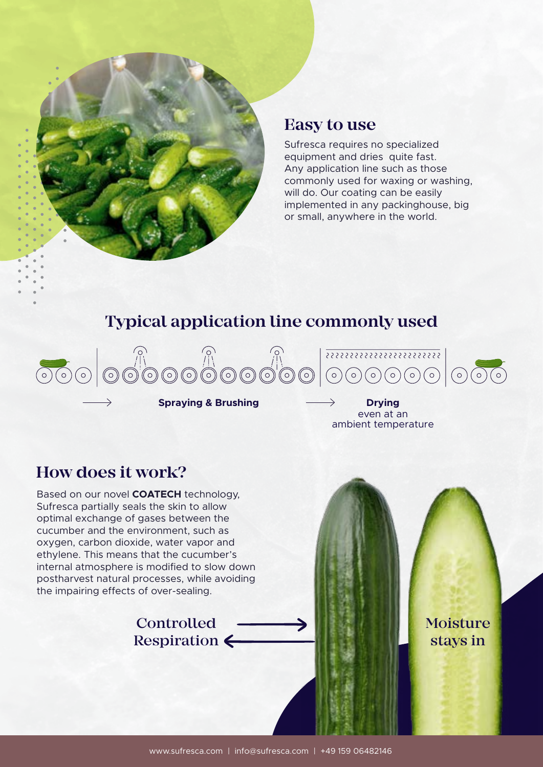

#### **Easy to use**

Sufresca requires no specialized equipment and dries quite fast. Any application line such as those commonly used for waxing or washing, will do. Our coating can be easily implemented in any packinghouse, big or small, anywhere in the world.

### **Typical application line commonly used**



**Spraying & Brushing Drying** 

even at an ambient temperature

#### **How does it work?**

Based on our novel **COATECH** technology, Sufresca partially seals the skin to allow optimal exchange of gases between the cucumber and the environment, such as oxygen, carbon dioxide, water vapor and ethylene. This means that the cucumber's internal atmosphere is modified to slow down postharvest natural processes, while avoiding the impairing effects of over-sealing.

#### **Controlled** Respiration  $\leftarrow$

Moisture stays in